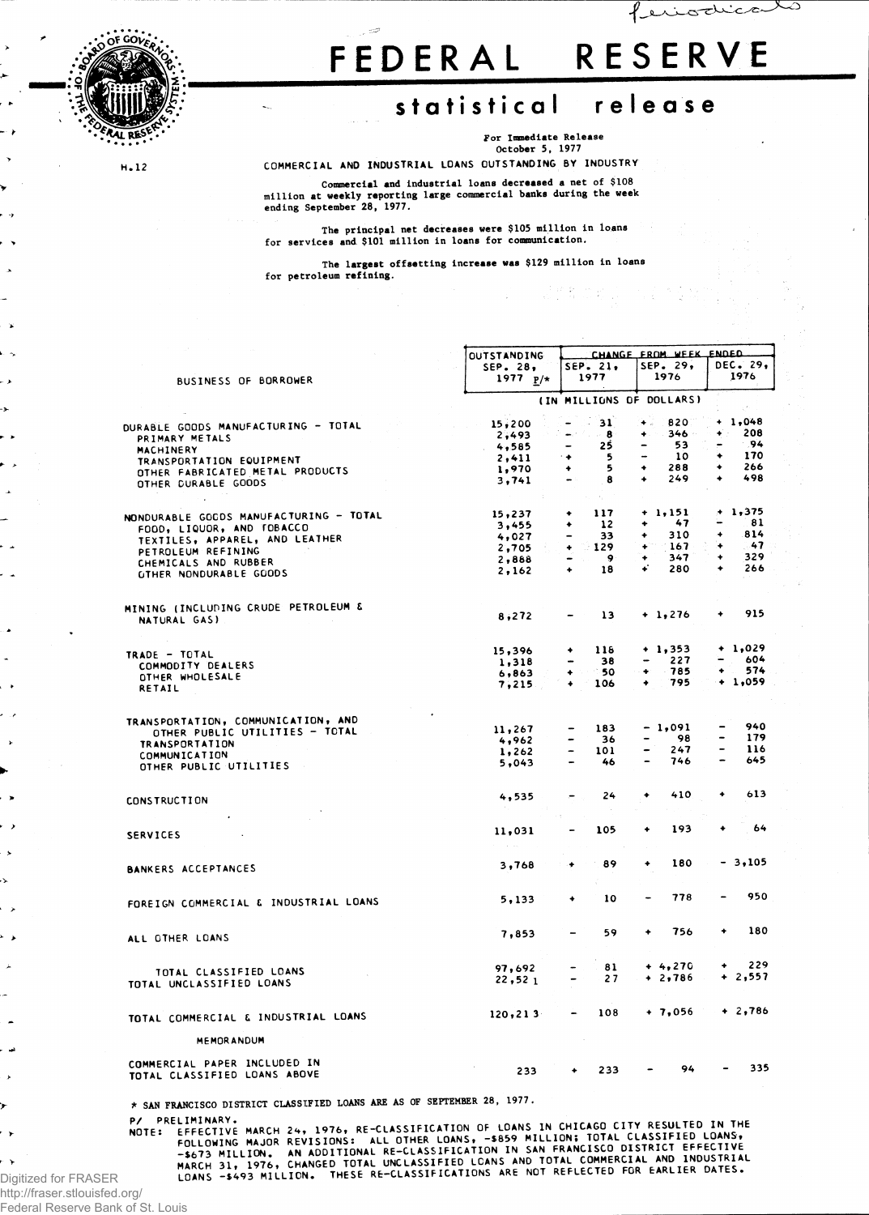

H. 12

Ō.

 $\bullet$ 

 $\rightarrow$ 

ò. ÷.

## **FEDERA L RESERV E**

feriodical

## **statistica l releas e**

**For Immediate Release October 5, 1977**

COMMERCIAL AND INDUSTRIAL LOANS OUTSTANDING BY INDUSTRY

Commercial and industrial loans decreased a net of \$108<br>million at weekly reporting large commercial banks during the week **ending September 28, 1977.**

**The principal net decreases were \$105 million in loans for services and \$101 million in loans for communication.**

**The largest offsetting increase was \$129 million in loans for petroleum refining.**

|                                                              | <b>OUTSTANDING</b>       | CHANGE FROM WEEK ENDED              |                                     |                  |  |  |  |  |
|--------------------------------------------------------------|--------------------------|-------------------------------------|-------------------------------------|------------------|--|--|--|--|
|                                                              | SEP. 28,                 | SEP. 21.                            | SEP. 29,                            | DEC. 29,         |  |  |  |  |
| BUSINESS OF BORROWER                                         | 1977 $p/*$               | 1977                                | 1976                                | 1976             |  |  |  |  |
|                                                              | (IN MILLIONS OF DOLLARS) |                                     |                                     |                  |  |  |  |  |
|                                                              |                          | $-31$                               | 820<br>$+$ .                        | + 1,048          |  |  |  |  |
| DURABLE GOODS MANUFACTURING - TOTAL                          | 15,200<br>2,493          |                                     | $-346 -$<br>٠                       | 208<br>$\bullet$ |  |  |  |  |
| PRIMARY METALS                                               | 4,585                    | 25<br>$\overline{\phantom{0}}$      | 53                                  | $-94$            |  |  |  |  |
| MACHINERY                                                    | 2,411                    | 5<br>٠                              | 10                                  | 170<br>۰         |  |  |  |  |
| TRANSPORTATION EQUIPMENT                                     | 1,970                    | 5<br>٠                              | 288<br>٠                            | 266<br>۰         |  |  |  |  |
| OTHER FABRICATED METAL PRODUCTS                              | 3,741                    | 8<br>$\sim$ 10                      | 249<br>۰                            | 498<br>٠         |  |  |  |  |
| OTHER DURABLE GOODS                                          |                          | $\mathcal{F}_\alpha$                |                                     |                  |  |  |  |  |
| NONDURABLE GOODS MANUFACTURING - TOTAL                       | 15,237                   | 117<br>٠                            | $+ 1.151$                           | $+1,375$         |  |  |  |  |
| FOOD, LIQUOR, AND TOBACCO                                    | 3,455                    | 12<br>۰                             | 47<br>٠                             | 81               |  |  |  |  |
| TEXTILES, APPAREL, AND LEATHER                               | 4,027                    | 33                                  | 310<br>۰                            | 814<br>۰         |  |  |  |  |
| PETROLEUM REFINING                                           | 2,705                    | $-129$<br>۰                         | 167<br>٠                            | - 47<br>٠        |  |  |  |  |
| CHEMICALS AND RUBBER                                         | 2,888                    | - 9<br>$\qquad \qquad \blacksquare$ | 347<br>۰                            | 329<br>٠         |  |  |  |  |
| <b>GTHER NONDURABLE GOODS</b>                                | 2,162                    | 18<br>$\bullet$                     | ÷<br>280                            | 266<br>٠         |  |  |  |  |
|                                                              |                          |                                     |                                     |                  |  |  |  |  |
| MINING (INCLUDING CRUDE PETROLEUM &                          | 8,272                    | 13                                  | $+1,276$                            | 915<br>٠         |  |  |  |  |
| NATURAL GAS)                                                 |                          |                                     |                                     |                  |  |  |  |  |
| TRADE - TOTAL                                                | 15,396                   | 118<br>٠                            | $+1,353$                            | $+ 1.029$        |  |  |  |  |
| COMMODITY DEALERS                                            | 1,318                    | 38<br>$\overline{\phantom{a}}$      | 227<br>$\qquad \qquad \blacksquare$ | 604<br>-         |  |  |  |  |
| OTHER WHOLESALE                                              | 6,863                    | - 50<br>٠                           | 785<br>۰                            | 574<br>٠         |  |  |  |  |
| RETAIL                                                       | 7,215                    | 106<br>$\ddot{\bullet}$             | 795                                 | $+ 1,059$        |  |  |  |  |
| TRANSPORTATION, COMMUNICATION, AND                           |                          |                                     |                                     |                  |  |  |  |  |
| OTHER PUBLIC UTILITIES - TOTAL                               | 11,267                   | 183                                 | $-1,091$                            | 940              |  |  |  |  |
| <b>TRANSPORTATION</b>                                        | 4,962                    | 36                                  | -98<br>$\overline{\phantom{a}}$     | 179              |  |  |  |  |
| COMMUNICATION                                                | 1,262                    | 101                                 | 247<br>$\overline{\phantom{0}}$     | 116<br>-         |  |  |  |  |
| OTHER PUBLIC UTILITIES                                       | 5.043                    | 46                                  | 746<br>$\overline{a}$               | 645              |  |  |  |  |
|                                                              | 4,535                    | 24                                  | 410<br>٠                            | 613<br>۰         |  |  |  |  |
| <b>CONSTRUCTION</b>                                          |                          |                                     |                                     |                  |  |  |  |  |
|                                                              |                          |                                     | 193<br>۰                            | 64               |  |  |  |  |
| <b>SERVICES</b>                                              | 11,031                   | 105                                 |                                     |                  |  |  |  |  |
| <b>BANKERS ACCEPTANCES</b>                                   | 3,768                    | 89<br>۰                             | 180<br>۰                            | $-3,105$         |  |  |  |  |
|                                                              |                          |                                     |                                     |                  |  |  |  |  |
| FOREIGN COMMERCIAL & INDUSTRIAL LOANS                        | 5,133                    | 10<br>٠                             | 778                                 | 950              |  |  |  |  |
|                                                              |                          |                                     |                                     |                  |  |  |  |  |
| ALL OTHER LOANS                                              | 7,853                    | 59<br>-                             | 756<br>٠                            | 180<br>۰         |  |  |  |  |
|                                                              | 97,692                   | 81                                  | $+4,270$                            | 229<br>٠         |  |  |  |  |
| TOTAL CLASSIFIED LOANS<br>TOTAL UNCLASSIFIED LOANS           | 22,521                   | 27                                  | $+2,786$                            | $+2,557$         |  |  |  |  |
| TOTAL COMMERCIAL & INDUSTRIAL LOANS                          | 120, 213                 | 108<br>-                            | $+7,056$                            | $+2,786$         |  |  |  |  |
|                                                              |                          |                                     |                                     |                  |  |  |  |  |
| <b>MEMORANDUM</b>                                            |                          |                                     |                                     |                  |  |  |  |  |
| COMMERCIAL PAPER INCLUDED IN<br>TOTAL CLASSIFIED LOANS ABOVE | 233                      | 233                                 | 94                                  | 335              |  |  |  |  |
|                                                              |                          |                                     |                                     |                  |  |  |  |  |

**A SAN FRANCISCO DISTRICT CLASSIFIED LOANS ARE AS OF SEPTEMBER 28, 1977.**

P/ PRELIMINARY.

P/ PRELIMINARY.<br>NOTE: EFFECTIVE MARCH 24, 1976, RE-CLASSIFICATION OF LOANS IN CHICAGO CITY RESULTED IN THE<br>FOLLOWING MAJOR REVISIONS: ALL OTHER LOANS, -\$859 MILLION; TOTAL CLASSIFIED LOANS,<br>-\$673 MILLION. AN ADDITIONAL RE-

Digitized for FRASER Federal Reserve Bank of St. Louis